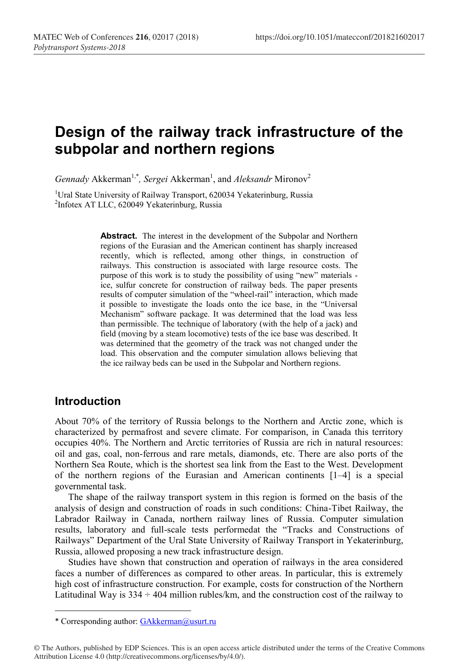# **Design of the railway track infrastructure of the subpolar and northern regions**

*Gennady* Akkerman<sup>1,\*</sup>, Sergei Akkerman<sup>1</sup>, and *Aleksandr* Mironov<sup>2</sup>

<sup>1</sup>Ural State University of Railway Transport, 620034 Yekaterinburg, Russia<br><sup>2</sup>Infotex AT LLC, 620049 Vekaterinburg, Russia <sup>2</sup>Infotex AT LLC, 620049 Yekaterinburg, Russia

> **Abstract.** The interest in the development of the Subpolar and Northern regions of the Eurasian and the American continent has sharply increased recently, which is reflected, among other things, in construction of railways. This construction is associated with large resource costs. The purpose of this work is to study the possibility of using "new" materials ice, sulfur concrete for construction of railway beds. The paper presents results of computer simulation of the "wheel-rail" interaction, which made it possible to investigate the loads onto the ice base, in the "Universal Mechanism" software package. It was determined that the load was less than permissible. The technique of laboratory (with the help of a jack) and field (moving by a steam locomotive) tests of the ice base was described. It was determined that the geometry of the track was not changed under the load. This observation and the computer simulation allows believing that the ice railway beds can be used in the Subpolar and Northern regions.

### **Introduction**

 $\overline{a}$ 

About 70% of the territory of Russia belongs to the Northern and Arctic zone, which is characterized by permafrost and severe climate. For comparison, in Canada this territory occupies 40%. The Northern and Arctic territories of Russia are rich in natural resources: oil and gas, coal, non-ferrous and rare metals, diamonds, etc. There are also ports of the Northern Sea Route, which is the shortest sea link from the East to the West. Development of the northern regions of the Eurasian and American continents [1–4] is a special governmental task.

The shape of the railway transport system in this region is formed on the basis of the analysis of design and construction of roads in such conditions: China-Tibet Railway, the Labrador Railway in Canada, northern railway lines of Russia. Computer simulation results, laboratory and full-scale tests performedat the "Tracks and Constructions of Railways" Department of the Ural State University of Railway Transport in Yekaterinburg, Russia, allowed proposing a new track infrastructure design.

Studies have shown that construction and operation of railways in the area considered faces a number of differences as compared to other areas. In particular, this is extremely high cost of infrastructure construction. For example, costs for construction of the Northern Latitudinal Way is  $334 \div 404$  million rubles/km, and the construction cost of the railway to

<sup>\*</sup> Corresponding author: GAkkerman@usurt.ru

<sup>©</sup> The Authors, published by EDP Sciences. This is an open access article distributed under the terms of the Creative Commons Attribution License 4.0 (http://creativecommons.org/licenses/by/4.0/).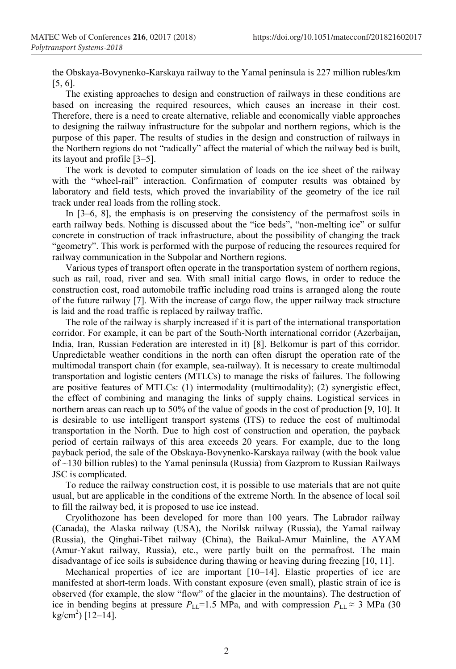the Obskaya-Bovynenko-Karskaya railway to the Yamal peninsula is 227 million rubles/km [5, 6].

The existing approaches to design and construction of railways in these conditions are based on increasing the required resources, which causes an increase in their cost. Therefore, there is a need to create alternative, reliable and economically viable approaches to designing the railway infrastructure for the subpolar and northern regions, which is the purpose of this paper. The results of studies in the design and construction of railways in the Northern regions do not "radically" affect the material of which the railway bed is built, its layout and profile [3–5].

The work is devoted to computer simulation of loads on the ice sheet of the railway with the "wheel-rail" interaction. Confirmation of computer results was obtained by laboratory and field tests, which proved the invariability of the geometry of the ice rail track under real loads from the rolling stock.

In [3–6, 8], the emphasis is on preserving the consistency of the permafrost soils in earth railway beds. Nothing is discussed about the "ice beds", "non-melting ice" or sulfur concrete in construction of track infrastructure, about the possibility of changing the track "geometry". This work is performed with the purpose of reducing the resources required for railway communication in the Subpolar and Northern regions.

Various types of transport often operate in the transportation system of northern regions, such as rail, road, river and sea. With small initial cargo flows, in order to reduce the construction cost, road automobile traffic including road trains is arranged along the route of the future railway [7]. With the increase of cargo flow, the upper railway track structure is laid and the road traffic is replaced by railway traffic.

The role of the railway is sharply increased if it is part of the international transportation corridor. For example, it can be part of the South-North international corridor (Azerbaijan, India, Iran, Russian Federation are interested in it) [8]. Belkomur is part of this corridor. Unpredictable weather conditions in the north can often disrupt the operation rate of the multimodal transport chain (for example, sea-railway). It is necessary to create multimodal transportation and logistic centers (MTLCs) to manage the risks of failures. The following are positive features of MTLCs: (1) intermodality (multimodality); (2) synergistic effect, the effect of combining and managing the links of supply chains. Logistical services in northern areas can reach up to 50% of the value of goods in the cost of production [9, 10]. It is desirable to use intelligent transport systems (ITS) to reduce the cost of multimodal transportation in the North. Due to high cost of construction and operation, the payback period of certain railways of this area exceeds 20 years. For example, due to the long payback period, the sale of the Obskaya-Bovynenko-Karskaya railway (with the book value of ~130 billion rubles) to the Yamal peninsula (Russia) from Gazprom to Russian Railways JSC is complicated.

To reduce the railway construction cost, it is possible to use materials that are not quite usual, but are applicable in the conditions of the extreme North. In the absence of local soil to fill the railway bed, it is proposed to use ice instead.

Cryolithozone has been developed for more than 100 years. The Labrador railway (Canada), the Alaska railway (USA), the Norilsk railway (Russia), the Yamal railway (Russia), the Qinghai-Tibet railway (China), the Baikal-Amur Mainline, the AYAM (Amur-Yakut railway, Russia), etc., were partly built on the permafrost. The main disadvantage of ice soils is subsidence during thawing or heaving during freezing [10, 11].

Mechanical properties of ice are important [10–14]. Elastic properties of ice are manifested at short-term loads. With constant exposure (even small), plastic strain of ice is observed (for example, the slow "flow" of the glacier in the mountains). The destruction of ice in bending begins at pressure  $P_{\text{L}}=1.5$  MPa, and with compression  $P_{\text{L}} \approx 3$  MPa (30)  $kg/cm<sup>2</sup>$ ) [12–14].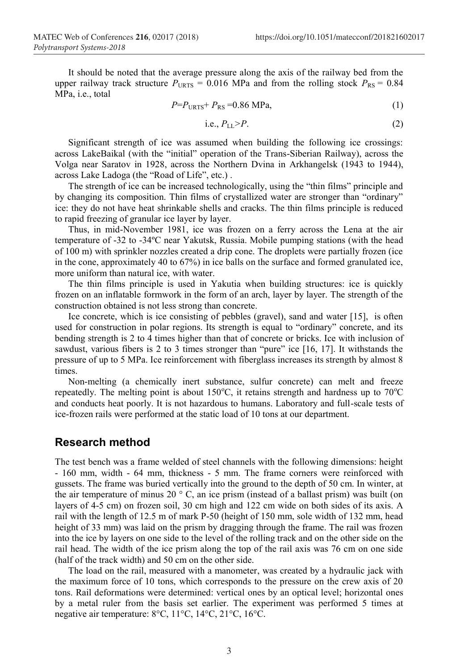It should be noted that the average pressure along the axis of the railway bed from the upper railway track structure  $P_{URTS} = 0.016$  MPa and from the rolling stock  $P_{RS} = 0.84$ MPa, i.e., total

$$
P = PURTS + PRS = 0.86 MPa,
$$
\n(1)

i.e., 
$$
P_{LL} > P.
$$
 (2)

Significant strength of ice was assumed when building the following ice crossings: across LakeBaikal (with the "initial" operation of the Trans-Siberian Railway), across the Volga near Saratov in 1928, across the Northern Dvina in Arkhangelsk (1943 to 1944), across Lake Ladoga (the "Road of Life", etc.) .

The strength of ice can be increased technologically, using the "thin films" principle and by changing its composition. Thin films of crystallized water are stronger than "ordinary" ice: they do not have heat shrinkable shells and cracks. The thin films principle is reduced to rapid freezing of granular ice layer by layer.

Thus, in mid-November 1981, ice was frozen on a ferry across the Lena at the air temperature of -32 to -34ºС near Yakutsk, Russia. Mobile pumping stations (with the head of 100 m) with sprinkler nozzles created a drip cone. The droplets were partially frozen (ice in the cone, approximately 40 to 67%) in ice balls on the surface and formed granulated ice, more uniform than natural ice, with water.

The thin films principle is used in Yakutia when building structures: ice is quickly frozen on an inflatable formwork in the form of an arch, layer by layer. The strength of the construction obtained is not less strong than concrete.

Ice concrete, which is ice consisting of pebbles (gravel), sand and water [15], is often used for construction in polar regions. Its strength is equal to "ordinary" concrete, and its bending strength is 2 to 4 times higher than that of concrete or bricks. Ice with inclusion of sawdust, various fibers is 2 to 3 times stronger than "pure" ice [16, 17]. It withstands the pressure of up to 5 MPa. Ice reinforcement with fiberglass increases its strength by almost 8 times.

Non-melting (a chemically inert substance, sulfur concrete) can melt and freeze repeatedly. The melting point is about  $150^{\circ}$ C, it retains strength and hardness up to  $70^{\circ}$ C and conducts heat poorly. It is not hazardous to humans. Laboratory and full-scale tests of ice-frozen rails were performed at the static load of 10 tons at our department.

#### **Research method**

The test bench was a frame welded of steel channels with the following dimensions: height - 160 mm, width - 64 mm, thickness - 5 mm. The frame corners were reinforced with gussets. The frame was buried vertically into the ground to the depth of 50 cm. In winter, at the air temperature of minus 20 $\degree$  C, an ice prism (instead of a ballast prism) was built (on layers of 4-5 cm) on frozen soil, 30 cm high and 122 cm wide on both sides of its axis. A rail with the length of 12.5 m of mark P-50 (height of 150 mm, sole width of 132 mm, head height of 33 mm) was laid on the prism by dragging through the frame. The rail was frozen into the ice by layers on one side to the level of the rolling track and on the other side on the rail head. The width of the ice prism along the top of the rail axis was 76 cm on one side (half of the track width) and 50 cm on the other side.

The load on the rail, measured with a manometer, was created by a hydraulic jack with the maximum force of 10 tons, which corresponds to the pressure on the crew axis of 20 tons. Rail deformations were determined: vertical ones by an optical level; horizontal ones by a metal ruler from the basis set earlier. The experiment was performed 5 times at negative air temperature: 8°С, 11°С, 14°С, 21°С, 16°С.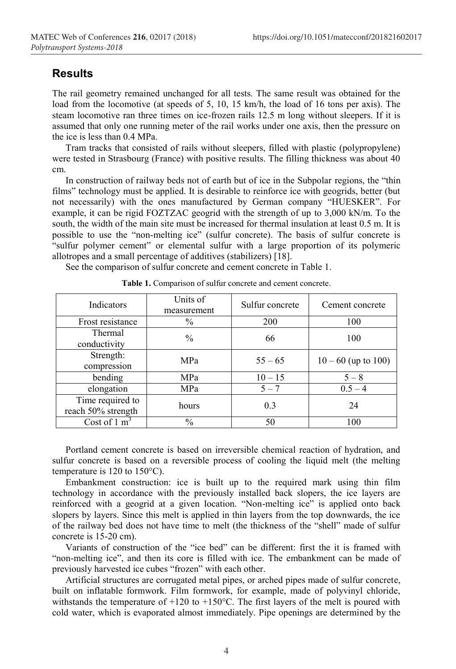## **Results**

The rail geometry remained unchanged for all tests. The same result was obtained for the load from the locomotive (at speeds of 5, 10, 15 km/h, the load of 16 tons per axis). The steam locomotive ran three times on ice-frozen rails 12.5 m long without sleepers. If it is assumed that only one running meter of the rail works under one axis, then the pressure on the ice is less than 0.4 MPa.

Tram tracks that consisted of rails without sleepers, filled with plastic (polypropylene) were tested in Strasbourg (France) with positive results. The filling thickness was about 40 cm.

In construction of railway beds not of earth but of ice in the Subpolar regions, the "thin films" technology must be applied. It is desirable to reinforce ice with geogrids, better (but not necessarily) with the ones manufactured by German company "HUESKER". For example, it can be rigid FOZTZAC geogrid with the strength of up to 3,000 kN/m. To the south, the width of the main site must be increased for thermal insulation at least 0.5 m. It is possible to use the "non-melting ice" (sulfur concrete). The basis of sulfur concrete is "sulfur polymer cement" or elemental sulfur with a large proportion of its polymeric allotropes and a small percentage of additives (stabilizers) [18].

See the comparison of sulfur concrete and cement concrete in Table 1.

| Indicators                             | Units of<br>measurement | Sulfur concrete | Cement concrete       |
|----------------------------------------|-------------------------|-----------------|-----------------------|
| Frost resistance                       | $\frac{0}{0}$           | <b>200</b>      | 100                   |
| Thermal<br>conductivity                | $\frac{0}{0}$           | 66              | 100                   |
| Strength:<br>compression               | MPa                     | $55 - 65$       | $10 - 60$ (up to 100) |
| bending                                | MPa                     | $10 - 15$       | $5 - 8$               |
| elongation                             | MPa                     | $5 - 7$         | $0.5 - 4$             |
| Time required to<br>reach 50% strength | hours                   | 0.3             | 24                    |
| Cost of $1 \text{ m}^3$                | $\%$                    | 50              | 100                   |

Portland cement concrete is based on irreversible chemical reaction of hydration, and sulfur concrete is based on a reversible process of cooling the liquid melt (the melting temperature is 120 to 150°C).

Embankment construction: ice is built up to the required mark using thin film technology in accordance with the previously installed back slopers, the ice layers are reinforced with a geogrid at a given location. "Non-melting ice" is applied onto back slopers by layers. Since this melt is applied in thin layers from the top downwards, the ice of the railway bed does not have time to melt (the thickness of the "shell" made of sulfur concrete is 15-20 cm).

Variants of construction of the "ice bed" can be different: first the it is framed with "non-melting ice", and then its core is filled with ice. The embankment can be made of previously harvested ice cubes "frozen" with each other.

Artificial structures are corrugated metal pipes, or arched pipes made of sulfur concrete, built on inflatable formwork. Film formwork, for example, made of polyvinyl chloride, withstands the temperature of  $+120$  to  $+150$ °C. The first layers of the melt is poured with cold water, which is evaporated almost immediately. Pipe openings are determined by the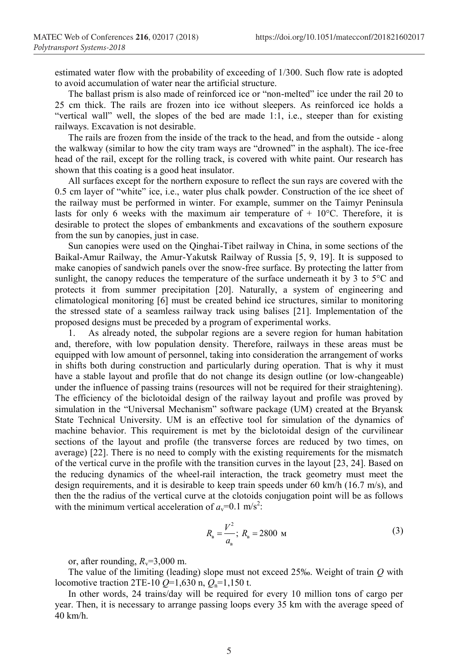estimated water flow with the probability of exceeding of 1/300. Such flow rate is adopted to avoid accumulation of water near the artificial structure.

The ballast prism is also made of reinforced ice or "non-melted" ice under the rail 20 to 25 cm thick. The rails are frozen into ice without sleepers. As reinforced ice holds a "vertical wall" well, the slopes of the bed are made 1:1, i.е., steeper than for existing railways. Excavation is not desirable.

The rails are frozen from the inside of the track to the head, and from the outside - along the walkway (similar to how the city tram ways are "drowned" in the asphalt). The ice-free head of the rail, except for the rolling track, is covered with white paint. Our research has shown that this coating is a good heat insulator.

All surfaces except for the northern exposure to reflect the sun rays are covered with the 0.5 cm layer of "white" ice, i.e., water plus chalk powder. Construction of the ice sheet of the railway must be performed in winter. For example, summer on the Taimyr Peninsula lasts for only 6 weeks with the maximum air temperature of  $+10^{\circ}$ C. Therefore, it is desirable to protect the slopes of embankments and excavations of the southern exposure from the sun by canopies, just in case.

Sun canopies were used on the Qinghai-Tibet railway in China, in some sections of the Baikal-Amur Railway, the Amur-Yakutsk Railway of Russia [5, 9, 19]. It is supposed to make canopies of sandwich panels over the snow-free surface. By protecting the latter from sunlight, the canopy reduces the temperature of the surface underneath it by 3 to 5°C and protects it from summer precipitation [20]. Naturally, a system of engineering and climatological monitoring [6] must be created behind ice structures, similar to monitoring the stressed state of a seamless railway track using balises [21]. Implementation of the proposed designs must be preceded by a program of experimental works.

1. As already noted, the subpolar regions are a severe region for human habitation and, therefore, with low population density. Therefore, railways in these areas must be equipped with low amount of personnel, taking into consideration the arrangement of works in shifts both during construction and particularly during operation. That is why it must have a stable layout and profile that do not change its design outline (or low-changeable) under the influence of passing trains (resources will not be required for their straightening). The efficiency of the biclotoidal design of the railway layout and profile was proved by simulation in the "Universal Mechanism" software package (UM) created at the Bryansk State Technical University. UM is an effective tool for simulation of the dynamics of machine behavior. This requirement is met by the biclotoidal design of the curvilinear sections of the layout and profile (the transverse forces are reduced by two times, on average) [22]. There is no need to comply with the existing requirements for the mismatch of the vertical curve in the profile with the transition curves in the layout [23, 24]. Based on the reducing dynamics of the wheel-rail interaction, the track geometry must meet the design requirements, and it is desirable to keep train speeds under 60 km/h (16.7 m/s), and then the the radius of the vertical curve at the clotoids conjugation point will be as follows with the minimum vertical acceleration of  $a_v=0.1 \text{ m/s}^2$ :

$$
R_{\rm B} = \frac{V^2}{a_{\rm B}}; R_{\rm B} = 2800 \, \text{M}
$$

or, after rounding,  $R_v=3,000$  m.

The value of the limiting (leading) slope must not exceed 25‰. Weight of train *Q* with locomotive traction 2TE-10  $Q=1,630$  n,  $Q_n=1,150$  t.

In other words, 24 trains/day will be required for every 10 million tons of cargo per year. Then, it is necessary to arrange passing loops every 35 km with the average speed of 40 km/h.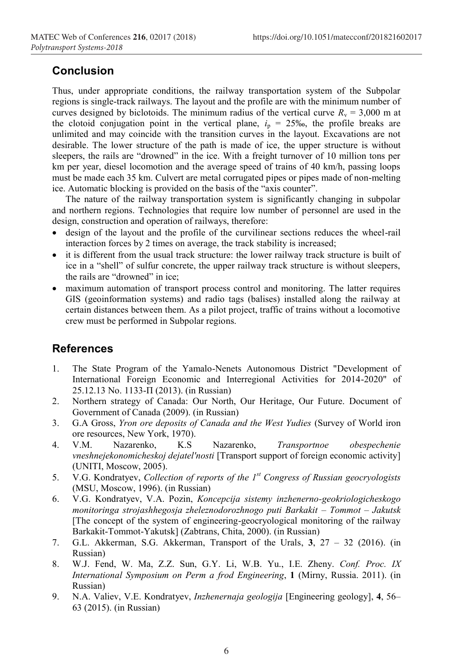### **Conclusion**

Thus, under appropriate conditions, the railway transportation system of the Subpolar regions is single-track railways. The layout and the profile are with the minimum number of curves designed by biclotoids. The minimum radius of the vertical curve  $R<sub>v</sub> = 3,000$  m at the clotoid conjugation point in the vertical plane,  $i_p = 25\%$ , the profile breaks are unlimited and may coincide with the transition curves in the layout. Excavations are not desirable. The lower structure of the path is made of ice, the upper structure is without sleepers, the rails are "drowned" in the ice. With a freight turnover of 10 million tons per km per year, diesel locomotion and the average speed of trains of 40 km/h, passing loops must be made each 35 km. Culvert are metal corrugated pipes or pipes made of non-melting ice. Automatic blocking is provided on the basis of the "axis counter".

The nature of the railway transportation system is significantly changing in subpolar and northern regions. Technologies that require low number of personnel are used in the design, construction and operation of railways, therefore:

- design of the layout and the profile of the curvilinear sections reduces the wheel-rail interaction forces by 2 times on average, the track stability is increased;
- it is different from the usual track structure: the lower railway track structure is built of ice in a "shell" of sulfur concrete, the upper railway track structure is without sleepers, the rails are "drowned" in ice;
- maximum automation of transport process control and monitoring. The latter requires GIS (geoinformation systems) and radio tags (balises) installed along the railway at certain distances between them. As a pilot project, traffic of trains without a locomotive crew must be performed in Subpolar regions.

#### **References**

- 1. The State Program of the Yamalo-Nenets Autonomous District "Development of International Foreign Economic and Interregional Activities for 2014-2020" of 25.12.13 No. 1133-П (2013). (in Russian)
- 2. Northern strategy of Canada: Our North, Our Heritage, Our Future. Document of Government of Canada (2009). (in Russian)
- 3. G.A Gross, *Yron ore deposits of Canada and the West Yudies* (Survey of World iron ore resources, New York, 1970).
- 4. V.M. Nazarenko, K.S Nazarenko, *Transportnoe obespechenie vneshnejekonomicheskoj dejatel'nosti* [Transport support of foreign economic activity] (UNITI, Moscow, 2005).
- 5. V.G. Kondratyev, *Collection of reports of the 1st Congress of Russian geocryologists* (MSU, Moscow, 1996). (in Russian)
- 6. V.G. Kondratyev, V.A. Pozin, *Koncepcija sistemy inzhenerno-geokriologicheskogo monitoringa strojashhegosja zheleznodorozhnogo puti Barkakit – Tommot – Jakutsk* [The concept of the system of engineering-geocryological monitoring of the railway Barkakit-Tommot-Yakutsk] (Zabtrans, Chita, 2000). (in Russian)
- 7. G.L. Akkerman, S.G. Akkerman, Transport of the Urals, **3**, 27 32 (2016). (in Russian)
- 8. W.J. Fend, W. Ma, Z.Z. Sun, G.Y. Li, W.B. Yu., I.E. Zheny. *Conf. Proc. IX International Symposium on Perm a frod Engineering*, **1** (Mirny, Russia. 2011). (in Russian)
- 9. N.A. Valiev, V.E. Kondratyev, *Inzhenernaja geologija* [Engineering geology], **4**, 56– 63 (2015). (in Russian)